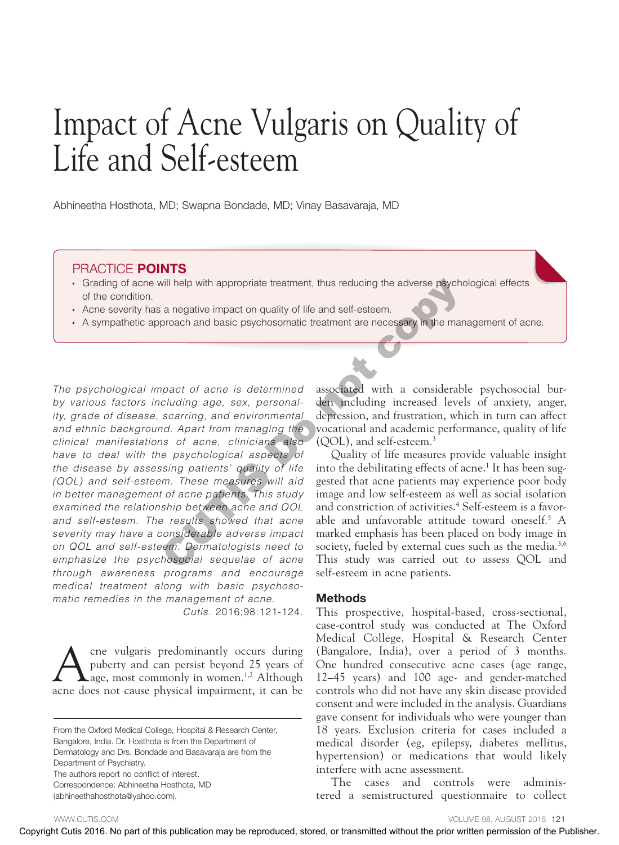# Impact of Acne Vulgaris on Quality of Life and Self-esteem

Abhineetha Hosthota, MD; Swapna Bondade, MD; Vinay Basavaraja, MD

#### PRACTICE POINTS

- • Grading of acne will help with appropriate treatment, thus reducing the adverse psychological effects of the condition.
- Acne severity has a negative impact on quality of life and self-esteem.
- • A sympathetic approach and basic psychosomatic treatment are necessary in the management of acne.

*The psychological impact of acne is determined by various factors including age, sex, personality, grade of disease, scarring, and environmental and ethnic background. Apart from managing the clinical manifestations of acne, clinicians also have to deal with the psychological aspects of the disease by assessing patients' quality of life (QOL) and self-esteem. These measures will aid in better management of acne patients. This study examined the relationship between acne and QOL and self-esteem. The results showed that acne severity may have a considerable adverse impact on QOL and self-esteem. Dermatologists need to emphasize the psychosocial sequelae of acne through awareness programs and encourage medical treatment along with basic psychosomatic remedies in the management of acne.*  Copyright Cuties 2016. This is distinguis and consideration may be reproduced the properties of the properties consider the produced with the properties of the properties of the prior with the properties of the Publisher.

*Cutis.* 2016;98:121-124.

A cne vulgaris predominantly occurs during<br>
puberty and can persist beyond 25 years of<br>
age, most commonly in women.<sup>1,2</sup> Although<br>
ages not cause physical impairment, it can be puberty and can persist beyond 25 years of acne does not cause physical impairment, it can be

From the Oxford Medical College, Hospital & Research Center, Bangalore, India. Dr. Hosthota is from the Department of Dermatology and Drs. Bondade and Basavaraja are from the Department of Psychiatry. The authors report no conflict of interest.

Correspondence: Abhineetha Hosthota, MD

(abhineethahosthota@yahoo.com).

associated with a considerable psychosocial burden including increased levels of anxiety, anger, depression, and frustration, which in turn can affect vocational and academic performance, quality of life (QOL), and self-esteem.3

Quality of life measures provide valuable insight into the debilitating effects of acne.<sup>1</sup> It has been suggested that acne patients may experience poor body image and low self-esteem as well as social isolation and constriction of activities.4 Self-esteem is a favorable and unfavorable attitude toward oneself.5 A marked emphasis has been placed on body image in society, fueled by external cues such as the media.<sup>3,6</sup> This study was carried out to assess QOL and self-esteem in acne patients.

#### Methods

This prospective, hospital-based, cross-sectional, case-control study was conducted at The Oxford Medical College, Hospital & Research Center (Bangalore, India), over a period of 3 months. One hundred consecutive acne cases (age range, 12–45 years) and 100 age- and gender-matched controls who did not have any skin disease provided consent and were included in the analysis. Guardians gave consent for individuals who were younger than 18 years. Exclusion criteria for cases included a medical disorder (eg, epilepsy, diabetes mellitus, hypertension) or medications that would likely interfere with acne assessment.

The cases and controls were administered a semistructured questionnaire to collect

WWW.CUTIS.COM **WARE COME** 98, AUGUST 2016 121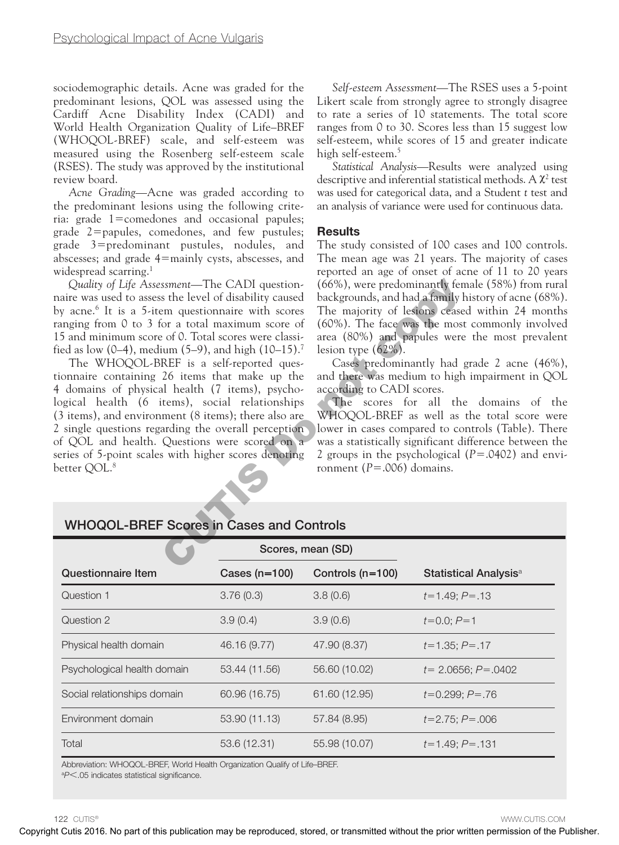sociodemographic details. Acne was graded for the predominant lesions, QOL was assessed using the Cardiff Acne Disability Index (CADI) and World Health Organization Quality of Life–BREF (WHOQOL-BREF) scale, and self-esteem was measured using the Rosenberg self-esteem scale (RSES). The study was approved by the institutional review board.

*Acne Grading*—Acne was graded according to the predominant lesions using the following criteria: grade 1=comedones and occasional papules; grade 2=papules, comedones, and few pustules; grade 3=predominant pustules, nodules, and abscesses; and grade 4=mainly cysts, abscesses, and widespread scarring.<sup>1</sup>

*Self-esteem Assessment*—The RSES uses a 5-point Likert scale from strongly agree to strongly disagree to rate a series of 10 statements. The total score ranges from 0 to 30. Scores less than 15 suggest low self-esteem, while scores of 15 and greater indicate high self-esteem.5

*Statistical Analysis*—Results were analyzed using descriptive and inferential statistical methods. A  $\chi^2$  test was used for categorical data, and a Student *t* test and an analysis of variance were used for continuous data.

#### **Results**

The study consisted of 100 cases and 100 controls. The mean age was 21 years. The majority of cases reported an age of onset of acne of 11 to 20 years (66%), were predominantly female (58%) from rural backgrounds, and had a family history of acne (68%). The majority of lesions ceased within 24 months (60%). The face was the most commonly involved area (80%) and papules were the most prevalent lesion type (62%).

| fied as low $(0-4)$ , medium $(5-9)$ , and high $(10-15)$ . <sup>7</sup><br>The WHOQOL-BREF is a self-reported ques-<br>tionnaire containing 26 items that make up the<br>4 domains of physical health (7 items), psycho-<br>logical health (6 items), social relationships<br>(3 items), and environment (8 items); there also are<br>2 single questions regarding the overall perception<br>of QOL and health. Questions were scored on a<br>series of 5-point scales with higher scores denoting<br>better QOL. <sup>8</sup><br><b>WHOQOL-BREF Scores in Cases and Controls</b> |               | lesion type $(62\%)$ .<br>according to CADI scores.<br>ronment ( $P = .006$ ) domains. | Cases predominantly had grade 2 acne (46%),<br>and there was medium to high impairment in QOL<br>The scores for all the domains of the<br>WHOQOL-BREF as well as the total score were<br>lower in cases compared to controls (Table). There<br>was a statistically significant difference between the<br>2 groups in the psychological $(P=.0402)$ and envi- |
|------------------------------------------------------------------------------------------------------------------------------------------------------------------------------------------------------------------------------------------------------------------------------------------------------------------------------------------------------------------------------------------------------------------------------------------------------------------------------------------------------------------------------------------------------------------------------------|---------------|----------------------------------------------------------------------------------------|--------------------------------------------------------------------------------------------------------------------------------------------------------------------------------------------------------------------------------------------------------------------------------------------------------------------------------------------------------------|
|                                                                                                                                                                                                                                                                                                                                                                                                                                                                                                                                                                                    |               | Scores, mean (SD)                                                                      |                                                                                                                                                                                                                                                                                                                                                              |
| <b>Questionnaire Item</b>                                                                                                                                                                                                                                                                                                                                                                                                                                                                                                                                                          | Cases (n=100) | Controls (n=100)                                                                       | Statistical Analysis <sup>a</sup>                                                                                                                                                                                                                                                                                                                            |
|                                                                                                                                                                                                                                                                                                                                                                                                                                                                                                                                                                                    |               | 3.8(0.6)                                                                               | $t=1.49; P=.13$                                                                                                                                                                                                                                                                                                                                              |
| Question 1                                                                                                                                                                                                                                                                                                                                                                                                                                                                                                                                                                         | 3.76(0.3)     |                                                                                        |                                                                                                                                                                                                                                                                                                                                                              |
|                                                                                                                                                                                                                                                                                                                                                                                                                                                                                                                                                                                    | 3.9(0.4)      | 3.9(0.6)                                                                               | $t=0.0; P=1$                                                                                                                                                                                                                                                                                                                                                 |
|                                                                                                                                                                                                                                                                                                                                                                                                                                                                                                                                                                                    | 46.16 (9.77)  | 47.90 (8.37)                                                                           | $t=1.35; P=.17$                                                                                                                                                                                                                                                                                                                                              |
|                                                                                                                                                                                                                                                                                                                                                                                                                                                                                                                                                                                    | 53.44 (11.56) | 56.60 (10.02)                                                                          | $t=2.0656; P=.0402$                                                                                                                                                                                                                                                                                                                                          |
| Question 2<br>Physical health domain<br>Psychological health domain<br>Social relationships domain                                                                                                                                                                                                                                                                                                                                                                                                                                                                                 | 60.96 (16.75) | 61.60 (12.95)                                                                          | $t=0.299; P=.76$                                                                                                                                                                                                                                                                                                                                             |
| Environment domain                                                                                                                                                                                                                                                                                                                                                                                                                                                                                                                                                                 | 53.90 (11.13) | 57.84 (8.95)                                                                           | $t=2.75; P=.006$                                                                                                                                                                                                                                                                                                                                             |
|                                                                                                                                                                                                                                                                                                                                                                                                                                                                                                                                                                                    |               |                                                                                        |                                                                                                                                                                                                                                                                                                                                                              |

# WHOQOL-BREF Scores in Cases and Controls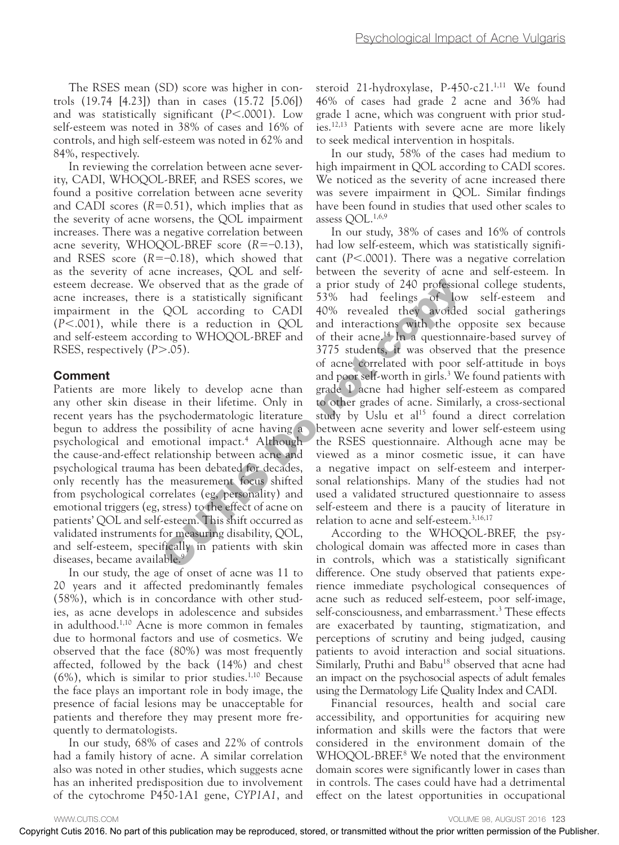The RSES mean (SD) score was higher in controls (19.74 [4.23]) than in cases (15.72 [5.06]) and was statistically significant (*P*<.0001). Low self-esteem was noted in 38% of cases and 16% of controls, and high self-esteem was noted in 62% and 84%, respectively.

In reviewing the correlation between acne severity, CADI, WHOQOL-BREF, and RSES scores, we found a positive correlation between acne severity and CADI scores  $(R=0.51)$ , which implies that as the severity of acne worsens, the QOL impairment increases. There was a negative correlation between acne severity, WHOQOL-BREF score (*R*=–0.13), and RSES score (*R*=–0.18), which showed that as the severity of acne increases, QOL and selfesteem decrease. We observed that as the grade of acne increases, there is a statistically significant impairment in the QOL according to CADI (*P*<.001), while there is a reduction in QOL and self-esteem according to WHOQOL-BREF and RSES, respectively (*P*>.05).

#### Comment

Patients are more likely to develop acne than any other skin disease in their lifetime. Only in recent years has the psychodermatologic literature begun to address the possibility of acne having a psychological and emotional impact.4 Although the cause-and-effect relationship between acne and psychological trauma has been debated for decades, only recently has the measurement focus shifted from psychological correlates (eg, personality) and emotional triggers (eg, stress) to the effect of acne on patients' QOL and self-esteem. This shift occurred as validated instruments for measuring disability, QOL, and self-esteem, specifically in patients with skin diseases, became available.<sup>9</sup>

In our study, the age of onset of acne was 11 to 20 years and it affected predominantly females (58%), which is in concordance with other studies, as acne develops in adolescence and subsides in adulthood.1,10 Acne is more common in females due to hormonal factors and use of cosmetics. We observed that the face (80%) was most frequently affected, followed by the back (14%) and chest  $(6%)$ , which is similar to prior studies.<sup>1,10</sup> Because the face plays an important role in body image, the presence of facial lesions may be unacceptable for patients and therefore they may present more frequently to dermatologists.

In our study, 68% of cases and 22% of controls had a family history of acne. A similar correlation also was noted in other studies, which suggests acne has an inherited predisposition due to involvement of the cytochrome P450-1A1 gene, *CYP1A1*, and steroid 21-hydroxylase, P-450-c21.<sup>1,11</sup> We found 46% of cases had grade 2 acne and 36% had grade 1 acne, which was congruent with prior studies.12,13 Patients with severe acne are more likely to seek medical intervention in hospitals.

In our study, 58% of the cases had medium to high impairment in QOL according to CADI scores. We noticed as the severity of acne increased there was severe impairment in QOL. Similar findings have been found in studies that used other scales to assess QOL.1,6,9

In our study, 38% of cases and 16% of controls had low self-esteem, which was statistically significant (*P*<.0001). There was a negative correlation between the severity of acne and self-esteem. In a prior study of 240 professional college students, 53% had feelings of low self-esteem and 40% revealed they avoided social gatherings and interactions with the opposite sex because of their acne.14 In a questionnaire-based survey of 3775 students, it was observed that the presence of acne correlated with poor self-attitude in boys and poor self-worth in girls.<sup>3</sup> We found patients with grade 1 acne had higher self-esteem as compared to other grades of acne. Similarly, a cross-sectional study by Uslu et al<sup>15</sup> found a direct correlation between acne severity and lower self-esteem using the RSES questionnaire. Although acne may be viewed as a minor cosmetic issue, it can have a negative impact on self-esteem and interpersonal relationships. Many of the studies had not used a validated structured questionnaire to assess self-esteem and there is a paucity of literature in relation to acne and self-esteem.3,16,17 escen decreases. We observed that the gradient is CAU as the results of the prior worlds be recorded by recorded with the CAU and the may be recorded with the prior worlds of the prior worlds of the prior worlds of the pr

According to the WHOQOL-BREF, the psychological domain was affected more in cases than in controls, which was a statistically significant difference. One study observed that patients experience immediate psychological consequences of acne such as reduced self-esteem, poor self-image, self-consciousness, and embarrassment.<sup>3</sup> These effects are exacerbated by taunting, stigmatization, and perceptions of scrutiny and being judged, causing patients to avoid interaction and social situations. Similarly, Pruthi and Babu<sup>18</sup> observed that acne had an impact on the psychosocial aspects of adult females using the Dermatology Life Quality Index and CADI.

Financial resources, health and social care accessibility, and opportunities for acquiring new information and skills were the factors that were considered in the environment domain of the WHOQOL-BREF.<sup>8</sup> We noted that the environment domain scores were significantly lower in cases than in controls. The cases could have had a detrimental effect on the latest opportunities in occupational